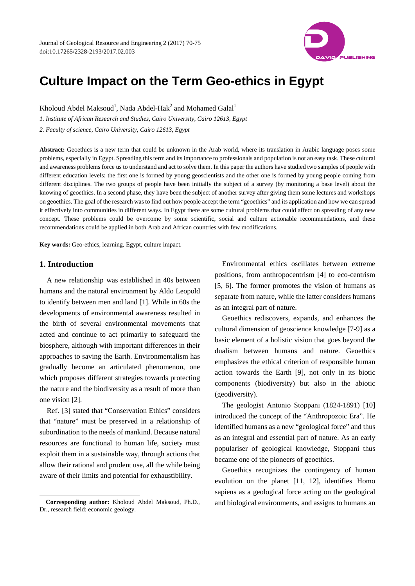

# **Culture Impact on the Term Geo-ethics in Egypt**

Kholoud Abdel Maksoud<sup>1</sup>, Nada Abdel-Hak<sup>2</sup> and Mohamed Galal<sup>1</sup>

*1. Institute of African Research and Studies, Cairo University, Cairo 12613, Egypt* 

*2. Faculty of science, Cairo University, Cairo 12613, Egypt* 

**Abstract:** Geoethics is a new term that could be unknown in the Arab world, where its translation in Arabic language poses some problems, especially in Egypt. Spreading this term and its importance to professionals and population is not an easy task. These cultural and awareness problems force us to understand and act to solve them. In this paper the authors have studied two samples of people with different education levels: the first one is formed by young geoscientists and the other one is formed by young people coming from different disciplines. The two groups of people have been initially the subject of a survey (by monitoring a base level) about the knowing of geoethics. In a second phase, they have been the subject of another survey after giving them some lectures and workshops on geoethics. The goal of the research was to find out how people accept the term "geoethics" and its application and how we can spread it effectively into communities in different ways. In Egypt there are some cultural problems that could affect on spreading of any new concept. These problems could be overcome by some scientific, social and culture actionable recommendations, and these recommendations could be applied in both Arab and African countries with few modifications.

**Key words:** Geo-ethics, learning, Egypt, culture impact.

## **1. Introduction**

 $\overline{a}$ 

A new relationship was established in 40s between humans and the natural environment by Aldo Leopold to identify between men and land [1]. While in 60s the developments of environmental awareness resulted in the birth of several environmental movements that acted and continue to act primarily to safeguard the biosphere, although with important differences in their approaches to saving the Earth. Environmentalism has gradually become an articulated phenomenon, one which proposes different strategies towards protecting the nature and the biodiversity as a result of more than one vision [2].

Ref. [3] stated that "Conservation Ethics" considers that "nature" must be preserved in a relationship of subordination to the needs of mankind. Because natural resources are functional to human life, society must exploit them in a sustainable way, through actions that allow their rational and prudent use, all the while being aware of their limits and potential for exhaustibility.

Environmental ethics oscillates between extreme positions, from anthropocentrism [4] to eco-centrism [5, 6]. The former promotes the vision of humans as separate from nature, while the latter considers humans as an integral part of nature.

Geoethics rediscovers, expands, and enhances the cultural dimension of geoscience knowledge [7-9] as a basic element of a holistic vision that goes beyond the dualism between humans and nature. Geoethics emphasizes the ethical criterion of responsible human action towards the Earth [9], not only in its biotic components (biodiversity) but also in the abiotic (geodiversity).

The geologist Antonio Stoppani (1824-1891) [10] introduced the concept of the "Anthropozoic Era". He identified humans as a new "geological force" and thus as an integral and essential part of nature. As an early populariser of geological knowledge, Stoppani thus became one of the pioneers of geoethics.

Geoethics recognizes the contingency of human evolution on the planet [11, 12], identifies Homo sapiens as a geological force acting on the geological and biological environments, and assigns to humans an

**Corresponding author:** Kholoud Abdel Maksoud, Ph.D., Dr., research field: economic geology.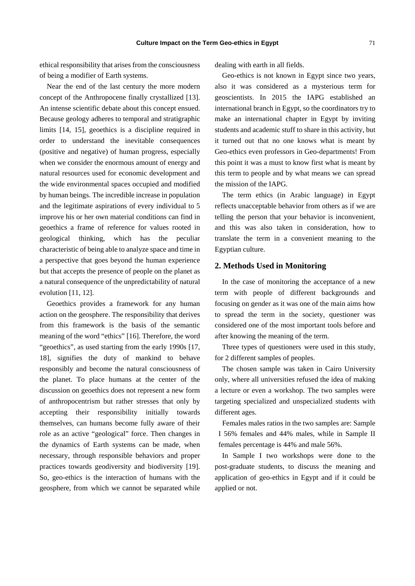ethical responsibility that arises from the consciousness of being a modifier of Earth systems.

Near the end of the last century the more modern concept of the Anthropocene finally crystallized [13]. An intense scientific debate about this concept ensued. Because geology adheres to temporal and stratigraphic limits [14, 15], geoethics is a discipline required in order to understand the inevitable consequences (positive and negative) of human progress, especially when we consider the enormous amount of energy and natural resources used for economic development and the wide environmental spaces occupied and modified by human beings. The incredible increase in population and the legitimate aspirations of every individual to 5 improve his or her own material conditions can find in geoethics a frame of reference for values rooted in geological thinking, which has the peculiar characteristic of being able to analyze space and time in a perspective that goes beyond the human experience but that accepts the presence of people on the planet as a natural consequence of the unpredictability of natural evolution [11, 12].

Geoethics provides a framework for any human action on the geosphere. The responsibility that derives from this framework is the basis of the semantic meaning of the word "ethics" [16]. Therefore, the word "geoethics", as used starting from the early 1990s [17, 18], signifies the duty of mankind to behave responsibly and become the natural consciousness of the planet. To place humans at the center of the discussion on geoethics does not represent a new form of anthropocentrism but rather stresses that only by accepting their responsibility initially towards themselves, can humans become fully aware of their role as an active "geological" force. Then changes in the dynamics of Earth systems can be made, when necessary, through responsible behaviors and proper practices towards geodiversity and biodiversity [19]. So, geo-ethics is the interaction of humans with the geosphere, from which we cannot be separated while

dealing with earth in all fields.

Geo-ethics is not known in Egypt since two years, also it was considered as a mysterious term for geoscientists. In 2015 the IAPG established an international branch in Egypt, so the coordinators try to make an international chapter in Egypt by inviting students and academic stuff to share in this activity, but it turned out that no one knows what is meant by Geo-ethics even professors in Geo-departments! From this point it was a must to know first what is meant by this term to people and by what means we can spread the mission of the IAPG.

The term ethics (in Arabic language) in Egypt reflects unacceptable behavior from others as if we are telling the person that your behavior is inconvenient, and this was also taken in consideration, how to translate the term in a convenient meaning to the Egyptian culture.

# **2. Methods Used in Monitoring**

In the case of monitoring the acceptance of a new term with people of different backgrounds and focusing on gender as it was one of the main aims how to spread the term in the society, questioner was considered one of the most important tools before and after knowing the meaning of the term.

Three types of questioners were used in this study, for 2 different samples of peoples.

The chosen sample was taken in Cairo University only, where all universities refused the idea of making a lecture or even a workshop. The two samples were targeting specialized and unspecialized students with different ages.

Females males ratios in the two samples are: Sample I 56% females and 44% males, while in Sample II females percentage is 44% and male 56%.

In Sample I two workshops were done to the post-graduate students, to discuss the meaning and application of geo-ethics in Egypt and if it could be applied or not.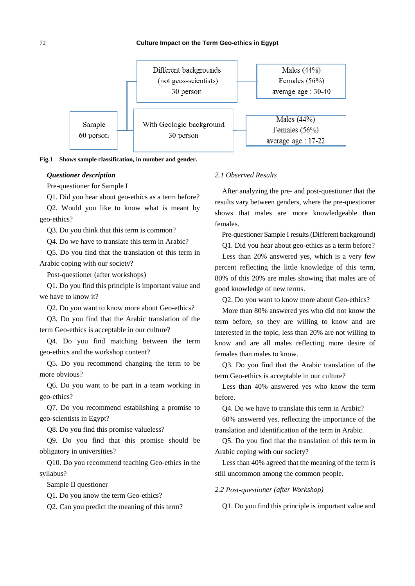

Fig.1 Shows sample classification, in number and gender.

#### Questioner description

Pre-questioner for Sample I

O1. Did you hear about geo-ethics as a term before?

Q2. Would you like to know what is meant by geo-ethics?

Q3. Do you think that this term is common?

O4. Do we have to translate this term in Arabic?

Q5. Do you find that the translation of this term in Arabic coping with our society?

Post-questioner (after workshops)

Q1. Do you find this principle is important value and we have to know it?

Q2. Do you want to know more about Geo-ethics?

Q3. Do you find that the Arabic translation of the term Geo-ethics is acceptable in our culture?

Q4. Do you find matching between the term geo-ethics and the workshop content?

O5. Do you recommend changing the term to be more obvious?

Q6. Do you want to be part in a team working in geo-ethics?

Q7. Do you recommend establishing a promise to geo-scientists in Egypt?

Q8. Do you find this promise valueless?

Q9. Do you find that this promise should be obligatory in universities?

010. Do you recommend teaching Geo-ethics in the svllabus?

Sample II questioner

Q1. Do you know the term Geo-ethics?

Q2. Can you predict the meaning of this term?

# 2.1 Observed Results

After analyzing the pre- and post-questioner that the results vary between genders, where the pre-questioner shows that males are more knowledgeable than females.

Pre-questioner Sample I results (Different background)

Q1. Did you hear about geo-ethics as a term before?

Less than 20% answered yes, which is a very few percent reflecting the little knowledge of this term, 80% of this 20% are males showing that males are of good knowledge of new terms.

Q2. Do you want to know more about Geo-ethics?

More than 80% answered yes who did not know the term before, so they are willing to know and are interested in the topic, less than 20% are not willing to know and are all males reflecting more desire of females than males to know.

Q3. Do you find that the Arabic translation of the term Geo-ethics is acceptable in our culture?

Less than 40% answered yes who know the term before.

O<sub>4</sub>. Do we have to translate this term in Arabic?

60% answered yes, reflecting the importance of the translation and identification of the term in Arabic.

Q5. Do you find that the translation of this term in Arabic coping with our society?

Less than 40% agreed that the meaning of the term is still uncommon among the common people.

2.2 Post-questioner (after Workshop)

Q1. Do you find this principle is important value and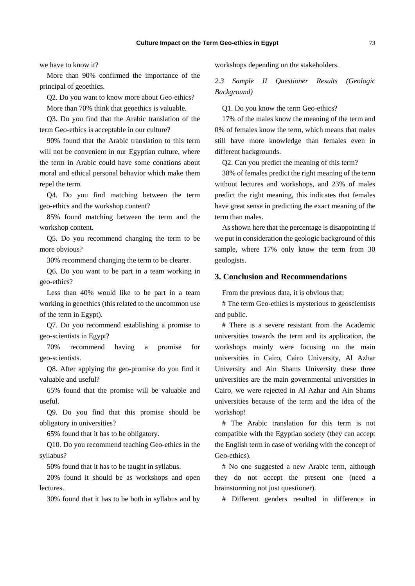we have to know it?

More than 90% confirmed the importance of the principal of geoethics.

Q2. Do you want to know more about Geo-ethics?

More than 70% think that geoethics is valuable.

Q3. Do you find that the Arabic translation of the term Geo-ethics is acceptable in our culture?

90% found that the Arabic translation to this term will not be convenient in our Egyptian culture, where the term in Arabic could have some conations about moral and ethical personal behavior which make them repel the term.

Q4. Do you find matching between the term geo-ethics and the workshop content?

85% found matching between the term and the workshop content.

Q5. Do you recommend changing the term to be more obvious?

30% recommend changing the term to be clearer.

Q6. Do you want to be part in a team working in geo-ethics?

Less than 40% would like to be part in a team working in geoethics (this related to the uncommon use of the term in Egypt).

Q7. Do you recommend establishing a promise to geo-scientists in Egypt?

70% recommend having a promise for geo-scientists.

Q8. After applying the geo-promise do you find it valuable and useful?

65% found that the promise will be valuable and useful.

Q9. Do you find that this promise should be obligatory in universities?

65% found that it has to be obligatory.

Q10. Do you recommend teaching Geo-ethics in the syllabus?

50% found that it has to be taught in syllabus.

20% found it should be as workshops and open lectures.

30% found that it has to be both in syllabus and by

workshops depending on the stakeholders.

*2.3 Sample II Questioner Results (Geologic Background)* 

Q1. Do you know the term Geo-ethics?

17% of the males know the meaning of the term and 0% of females know the term, which means that males still have more knowledge than females even in different backgrounds.

Q2. Can you predict the meaning of this term?

38% of females predict the right meaning of the term without lectures and workshops, and 23% of males predict the right meaning, this indicates that females have great sense in predicting the exact meaning of the term than males.

As shown here that the percentage is disappointing if we put in consideration the geologic background of this sample, where 17% only know the term from 30 geologists.

## **3. Conclusion and Recommendations**

From the previous data, it is obvious that:

# The term Geo-ethics is mysterious to geoscientists and public.

# There is a severe resistant from the Academic universities towards the term and its application, the workshops mainly were focusing on the main universities in Cairo, Cairo University, Al Azhar University and Ain Shams University these three universities are the main governmental universities in Cairo, we were rejected in Al Azhar and Ain Shams universities because of the term and the idea of the workshop!

# The Arabic translation for this term is not compatible with the Egyptian society (they can accept the English term in case of working with the concept of Geo-ethics).

# No one suggested a new Arabic term, although they do not accept the present one (need a brainstorming not just questioner).

# Different genders resulted in difference in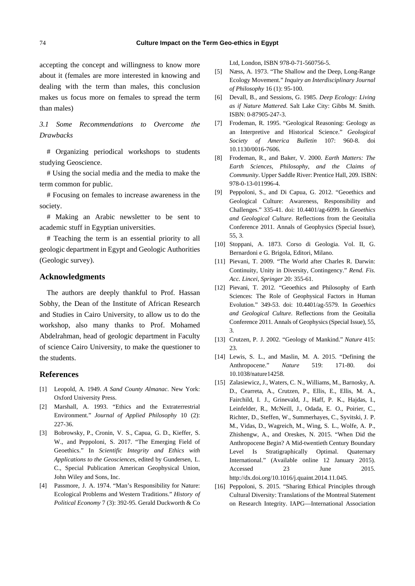accepting the concept and willingness to know more about it (females are more interested in knowing and dealing with the term than males, this conclusion makes us focus more on females to spread the term than males)

*3.1 Some Recommendations to Overcome the Drawbacks* 

# Organizing periodical workshops to students studying Geoscience.

# Using the social media and the media to make the term common for public.

# Focusing on females to increase awareness in the society.

# Making an Arabic newsletter to be sent to academic stuff in Egyptian universities.

# Teaching the term is an essential priority to all geologic department in Egypt and Geologic Authorities (Geologic survey).

## **Acknowledgments**

The authors are deeply thankful to Prof. Hassan Sobhy, the Dean of the Institute of African Research and Studies in Cairo University, to allow us to do the workshop, also many thanks to Prof. Mohamed Abdelrahman, head of geologic department in Faculty of science Cairo University, to make the questioner to the students.

#### **References**

- [1] Leopold, A. 1949. *A Sand County Almanac*. New York: Oxford University Press.
- [2] Marshall, A. 1993. "Ethics and the Extraterrestrial Environment." *Journal of Applied Philosophy* 10 (2): 227-36.
- [3] Bobrowsky, P., Cronin, V. S., Capua, G. D., Kieffer, S. W., and Peppoloni, S. 2017. "The Emerging Field of Geoethics." In *Scientific Integrity and Ethics with Applications to the Geosciences*, edited by Gundersen, L. C., Special Publication American Geophysical Union, John Wiley and Sons, Inc.
- [4] Passmore, J. A. 1974. "Man's Responsibility for Nature: Ecological Problems and Western Traditions." *History of Political Economy* 7 (3): 392-95. Gerald Duckworth & Co

Ltd, London, ISBN 978-0-71-560756-5.

- [5] Næss, A. 1973. "The Shallow and the Deep, Long-Range Ecology Movement." *Inquiry an Interdisciplinary Journal of Philosophy* 16 (1): 95-100.
- [6] Devall, B., and Sessions, G. 1985. *Deep Ecology: Living as if Nature Mattered*. Salt Lake City: Gibbs M. Smith. ISBN: 0-87905-247-3.
- [7] Frodeman, R. 1995. "Geological Reasoning: Geology as an Interpretive and Historical Science." *Geological Society of America Bulletin* 107: 960-8. doi 10.1130/0016-7606.
- [8] Frodeman, R., and Baker, V. 2000. *Earth Matters: The Earth Sciences, Philosophy, and the Claims of Community*. Upper Saddle River: Prentice Hall, 209. ISBN: 978-0-13-011996-4.
- [9] Peppoloni, S., and Di Capua, G. 2012. "Geoethics and Geological Culture: Awareness, Responsibility and Challenges." 335-41. doi: 10.4401/ag-6099. In *Geoethics and Geological Culture*. Reflections from the Geoitalia Conference 2011. Annals of Geophysics (Special Issue), 55, 3.
- [10] Stoppani, A. 1873. Corso di Geologia. Vol. II, G. Bernardoni e G. Brigola, Editori, Milano.
- [11] Pievani, T. 2009. "The World after Charles R. Darwin: Continuity, Unity in Diversity, Contingency." *Rend. Fis. Acc. Lincei, Springer* 20: 355-61.
- [12] Pievani, T. 2012. "Geoethics and Philosophy of Earth Sciences: The Role of Geophysical Factors in Human Evolution." 349-53. doi: 10.4401/ag-5579. In *Geoethics and Geological Culture*. Reflections from the Geoitalia Conference 2011. Annals of Geophysics (Special Issue), 55, 3.
- [13] Crutzen, P. J. 2002. "Geology of Mankind." *Nature* 415: 23.
- [14] Lewis, S. L., and Maslin, M. A. 2015. "Defining the Anthropocene." *Nature* 519: 171-80. doi 10.1038/nature14258.
- [15] Zalasiewicz, J., Waters, C. N., Williams, M., Barnosky, A. D., Cearreta, A., Crutzen, P., Ellis, E., Ellis, M. A., Fairchild, I. J., Grinevald, J., Haff, P. K., Hajdas, I., Leinfelder, R., McNeill, J., Odada, E. O., Poirier, C., Richter, D., Steffen, W., Summerhayes, C., Syvitski, J. P. M., Vidas, D., Wagreich, M., Wing, S. L., Wolfe, A. P., Zhishengw, A., and Oreskes, N. 2015. "When Did the Anthropocene Begin? A Mid-twentieth Century Boundary Level Is Stratigraphically Optimal. Quaternary International." (Available online 12 January 2015). Accessed 23 June 2015. http://dx.doi.org/10.1016/j.quaint.2014.11.045.
- [16] Peppoloni, S. 2015. "Sharing Ethical Principles through Cultural Diversity: Translations of the Montreal Statement on Research Integrity. IAPG—International Association